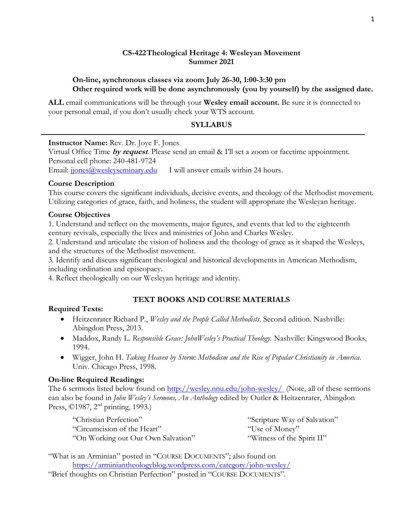### **CS-422Theological Heritage 4: Wesleyan Movement Summer 2021**

### **On-line, synchronous classes via zoom July 26-30, 1:00-3:30 pm Other required work will be done asynchronously (you by yourself) by the assigned date.**

**ALL** email communications will be through your **Wesley email account.** Be sure it is connected to your personal email, if you don't usually check your WTS account.

#### **SYLLABUS**

**Instructor Name:** Rev. Dr. Joye F. Jones

Virtual Office Time **by request**. Please send an email & I'll set a zoom or facetime appointment. Personal cell phone: 240-481-9724 Email:  $ijones@wesleyseminary.edu$  I will answer emails within 24 hours.

### **Course Description**

This course covers the significant individuals, decisive events, and theology of the Methodist movement. Utilizing categories of grace, faith, and holiness, the student will appropriate the Wesleyan heritage.

### **Course Objectives**

1. Understand and reflect on the movements, major figures, and events that led to the eighteenth century revivals, especially the lives and ministries of John and Charles Wesley.

2. Understand and articulate the vision of holiness and the theology of grace as it shaped the Wesleys, and the structures of the Methodist movement.

3. Identify and discuss significant theological and historical developments in American Methodism, including ordination and episcopacy.

4. Reflect theologically on our Wesleyan heritage and identity.

# **TEXT BOOKS AND COURSE MATERIALS**

### **Required Texts:**

- Heitzenrater Richard P., *Wesley and the People Called Methodists*. Second edition. Nashville: Abingdon Press, 2013.
- Maddox, Randy L. *Responsible Grace: JohnWesley's Practical Theology.* Nashville: Kingswood Books, 1994.
- Wigger, John H. *Taking Heaven by Storm: Methodism and the Rise of Popular Christianity in America.*  Univ. Chicago Press, 1998.

# **On-line Required Readings:**

The 6 sermons listed below found on<http://wesley.nnu.edu/john-wesley/> (Note, all of these sermons can also be found in *John Wesley's Sermons, An Anthology* edited by Outler & Heitzenrater, Abingdon Press, ©1987, 2<sup>nd</sup> printing, 1993.)

| "Christian Perfection"             | "Scripture Way of Salvation" |
|------------------------------------|------------------------------|
| "Circumcision of the Heart"        | "Use of Money"               |
| "On Working out Our Own Salvation" | "Witness of the Spirit II"   |

"What is an Arminian" posted in "COURSE DOCUMENTS"; also found on <https://arminiantheologyblog.wordpress.com/category/john-wesley/>

"Brief thoughts on Christian Perfection" posted in "COURSE DOCUMENTS".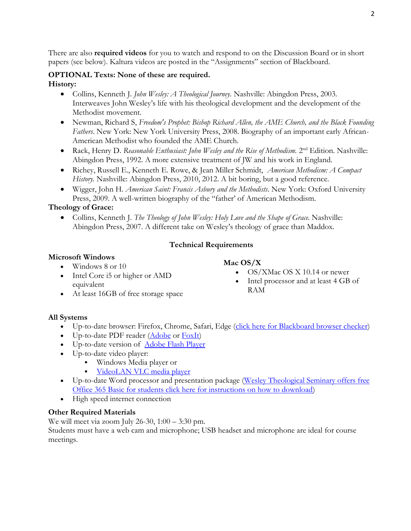There are also **required videos** for you to watch and respond to on the Discussion Board or in short papers (see below). Kaltura videos are posted in the "Assignments" section of Blackboard.

# **OPTIONAL Texts: None of these are required. History:**

- Collins, Kenneth J. *John Wesley: A Theological Journey.* Nashville: Abingdon Press, 2003. Interweaves John Wesley's life with his theological development and the development of the Methodist movement.
- Newman, Richard S, *Freedom's Prophet: Bishop Richard Allen, the AME Church, and the Black Founding Fathers*. New York: New York University Press, 2008. Biography of an important early African-American Methodist who founded the AME Church.
- Rack, Henry D. *Reasonable Enthusiast: John Wesley and the Rise of Methodism.* 2<sup>nd</sup> Edition. Nashville: Abingdon Press, 1992. A more extensive treatment of JW and his work in England.
- Richey, Russell E., Kenneth E. Rowe, & Jean Miller Schmidt, *American Methodism: A Compact History.* Nashville: Abingdon Press, 2010, 2012. A bit boring, but a good reference.
- Wigger, John H. *American Saint: Francis Asbury and the Methodists*. New York: Oxford University Press, 2009. A well-written biography of the "father' of American Methodism.

# **Theology of Grace:**

• Collins, Kenneth J. *The Theology of John Wesley: Holy Love and the Shape of Grace.* Nashville: Abingdon Press, 2007. A different take on Wesley's theology of grace than Maddox.

# **Technical Requirements**

# **Microsoft Windows**

- Windows 8 or 10
- Intel Core i5 or higher or AMD equivalent
- At least 16GB of free storage space

# **Mac OS/X**

- OS/XMac OS X 10.14 or newer
- Intel processor and at least 4 GB of RAM

# **All Systems**

- Up-to-date browser: Firefox, Chrome, Safari, Edge (click here for [Blackboard browser checker\)](https://help.blackboard.com/Learn/Student/Getting_Started/Browser_Support/Browser_Checker)
- Up-to-date PDF reader  $(\underline{Adobe}$  or  $\underline{FoxIt})$
- Up-to-date version of [Adobe Flash Player](http://get.adobe.com/flashplayer/)
- Up-to-date video player:
	- Windows Media player or
	- **VideoLAN [VLC media player](http://www.videolan.org/vlc/download-macosx.html)**
- Up-to-date Word processor and presentation package (Wesley Theological Seminary offers free [Office 365 Basic for students click here for instructions on how to download\)](https://www.wesleyseminary.edu/wp-content/uploads/2020/03/Instructions-on-installing-word-at-home.pdf)
- High speed internet connection

# **Other Required Materials**

We will meet via zoom July 26-30, 1:00 – 3:30 pm.

Students must have a web cam and microphone; USB headset and microphone are ideal for course meetings.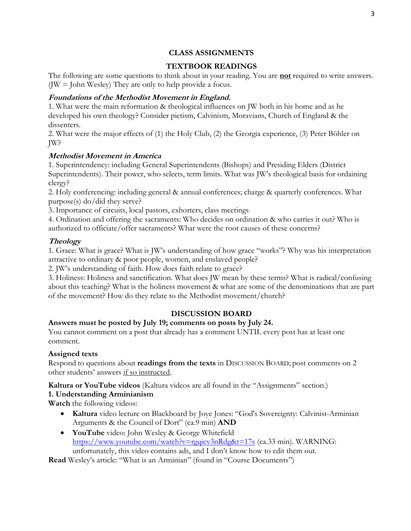### **CLASS ASSIGNMENTS**

# **TEXTBOOK READINGS**

The following are some questions to think about in your reading. You are **not** required to write answers. ( $JW =$  John Wesley) They are only to help provide a focus.

## **Foundations of the Methodist Movement in England.**

1. What were the main reformation & theological influences on JW both in his home and as he developed his own theology? Consider pietism, Calvinism, Moravians, Church of England & the dissenters.

2. What were the major effects of (1) the Holy Club, (2) the Georgia experience, (3) Peter Böhler on JW?

### **Methodist Movement in America**

1. Superintendency: including General Superintendents (Bishops) and Presiding Elders (District Superintendents). Their power, who selects, term limits. What was JW's theological basis for ordaining clergy?

2. Holy conferencing: including general & annual conferences; charge & quarterly conferences. What purpose(s) do/did they serve?

3. Importance of circuits, local pastors, exhorters, class meetings

4. Ordination and offering the sacraments: Who decides on ordination & who carries it out? Who is authorized to officiate/offer sacraments? What were the root causes of these concerns?

### **Theology**

1. Grace: What is grace? What is JW's understanding of how grace "works"? Why was his interpretation attractive to ordinary & poor people, women, and enslaved people?

2. JW's understanding of faith. How does faith relate to grace?

3. Holiness: Holiness and sanctification. What does JW mean by these terms? What is radical/confusing about this teaching? What is the holiness movement & what are some of the denominations that are part of the movement? How do they relate to the Methodist movement/church?

### **DISCUSSION BOARD**

### **Answers must be posted by July 19; comments on posts by July 24.**

You cannot comment on a post that already has a comment UNTIL every post has at least one comment.

#### **Assigned texts**

Respond to questions about **readings from the texts** in DISCUSSION BOARD; post comments on 2 other students' answers if so instructed.

**Kaltura or YouTube videos** (Kaltura videos are all found in the "Assignments" section.)

### **1. Understanding Arminianism**

**Watch** the following videos:

- **Kaltura** video lecture on Blackboard by Joye Jones: "God's Sovereignty: Calvinist-Arminian Arguments & the Council of Dort" (ca.9 min) **AND**
- **YouTube** video: John Wesley & George Whitefield <https://www.youtube.com/watch?v=rgqicv3nRdg&t=17s> (ca.33 min). WARNING: unfortunately, this video contains ads, and I don't know how to edit them out.

**Read** Wesley's article: "What is an Arminian" (found in "Course Documents")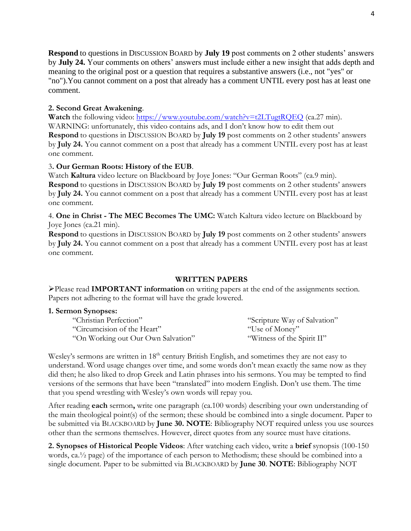**Respond** to questions in DISCUSSION BOARD by **July 19** post comments on 2 other students' answers by **July 24.** Your comments on others' answers must include either a new insight that adds depth and meaning to the original post or a question that requires a substantive answers (i.e., not "yes" or "no").You cannot comment on a post that already has a comment UNTIL every post has at least one comment.

# **2. Second Great Awakening**.

**Watch** the following video:<https://www.youtube.com/watch?v=t2LTugtRQEQ> (ca.27 min). WARNING: unfortunately, this video contains ads, and I don't know how to edit them out **Respond** to questions in DISCUSSION BOARD by **July 19** post comments on 2 other students' answers by **July 24.** You cannot comment on a post that already has a comment UNTIL every post has at least one comment.

### 3**. Our German Roots: History of the EUB**.

Watch **Kaltura** video lecture on Blackboard by Joye Jones: "Our German Roots" (ca.9 min). **Respond** to questions in DISCUSSION BOARD by **July 19** post comments on 2 other students' answers by **July 24.** You cannot comment on a post that already has a comment UNTIL every post has at least one comment.

4. **One in Christ - The MEC Becomes The UMC:** Watch Kaltura video lecture on Blackboard by Joye Jones (ca.21 min).

**Respond** to questions in DISCUSSION BOARD by **July 19** post comments on 2 other students' answers by **July 24.** You cannot comment on a post that already has a comment UNTIL every post has at least one comment.

### **WRITTEN PAPERS**

➢Please read **IMPORTANT information** on writing papers at the end of the assignments section. Papers not adhering to the format will have the grade lowered.

### **1. Sermon Synopses:**

| "Christian Perfection"             | "Scripture Way of Salvation" |
|------------------------------------|------------------------------|
| "Circumcision of the Heart"        | "Use of Money"               |
| "On Working out Our Own Salvation" | "Witness of the Spirit II"   |

Wesley's sermons are written in 18<sup>th</sup> century British English, and sometimes they are not easy to understand. Word usage changes over time, and some words don't mean exactly the same now as they did then; he also liked to drop Greek and Latin phrases into his sermons. You may be tempted to find versions of the sermons that have been "translated" into modern English. Don't use them. The time that you spend wrestling with Wesley's own words will repay you.

After reading **each** sermon**,** write one paragraph (ca.100 words) describing your own understanding of the main theological point(s) of the sermon; these should be combined into a single document. Paper to be submitted via BLACKBOARD by **June 30. NOTE**: Bibliography NOT required unless you use sources other than the sermons themselves. However, direct quotes from any source must have citations.

**2. Synopses of Historical People Videos**: After watching each video, write a **brief** synopsis (100-150 words, ca.½ page) of the importance of each person to Methodism; these should be combined into a single document. Paper to be submitted via BLACKBOARD by **June 30**. **NOTE**: Bibliography NOT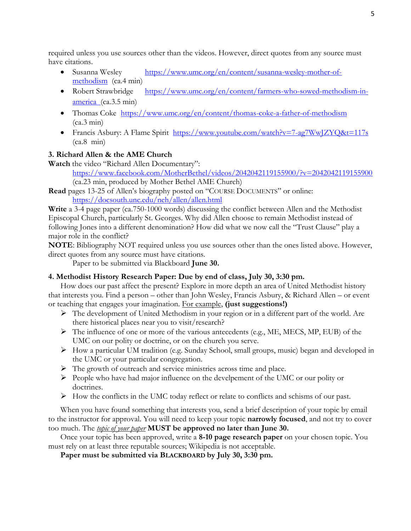required unless you use sources other than the videos. However, direct quotes from any source must have citations.

- Susanna Wesley [https://www.umc.org/en/content/susanna-wesley-mother-of](https://www.umc.org/en/content/susanna-wesley-mother-of-methodism)[methodism](https://www.umc.org/en/content/susanna-wesley-mother-of-methodism) (ca.4 min)
- Robert Strawbridge [https://www.umc.org/en/content/farmers-who-sowed-methodism-in](https://www.umc.org/en/content/farmers-who-sowed-methodism-in-america)[america](https://www.umc.org/en/content/farmers-who-sowed-methodism-in-america) (ca.3.5 min)
- Thomas Coke <https://www.umc.org/en/content/thomas-coke-a-father-of-methodism>  $(ca.3 min)$
- Francis Asbury: A Flame Spirit <https://www.youtube.com/watch?v=7-ag7WwJZYQ&t=117s>  $(ca.8 \text{ min})$

# **3. Richard Allen & the AME Church**

**Watch** the video "Richard Allen Documentary":

<https://www.facebook.com/MotherBethel/videos/2042042119155900/?v=2042042119155900> (ca.23 min, produced by Mother Bethel AME Church)

**Read** pages 13-25 of Allen's biography posted on "COURSE DOCUMENTS" or online: <https://docsouth.unc.edu/neh/allen/allen.html>

**Write** a 3-4 page paper (ca.750-1000 words) discussing the conflict between Allen and the Methodist Episcopal Church, particularly St. Georges. Why did Allen choose to remain Methodist instead of following Jones into a different denomination? How did what we now call the "Trust Clause" play a major role in the conflict?

**NOTE**: Bibliography NOT required unless you use sources other than the ones listed above. However, direct quotes from any source must have citations.

Paper to be submitted via Blackboard **June 30.**

# **4. Methodist History Research Paper: Due by end of class, July 30, 3:30 pm.**

How does our past affect the present? Explore in more depth an area of United Methodist history that interests you. Find a person – other than John Wesley, Francis Asbury, & Richard Allen – or event or teaching that engages your imagination. For example, **(just suggestions!)**

- ➢ The development of United Methodism in your region or in a different part of the world. Are there historical places near you to visit/research?
- ➢ The influence of one or more of the various antecedents (e.g., ME, MECS, MP, EUB) of the UMC on our polity or doctrine, or on the church you serve.
- ➢ How a particular UM tradition (e.g. Sunday School, small groups, music) began and developed in the UMC or your particular congregation.
- ➢ The growth of outreach and service ministries across time and place.
- ➢ People who have had major influence on the develpement of the UMC or our polity or doctrines.
- ➢ How the conflicts in the UMC today reflect or relate to conflicts and schisms of our past.

When you have found something that interests you, send a brief description of your topic by email to the instructor for approval. You will need to keep your topic **narrowly focused**, and not try to cover too much. The *topic of your paper* **MUST be approved no later than June 30.**

Once your topic has been approved, write a **8-10 page research paper** on your chosen topic. You must rely on at least three reputable sources; Wikipedia is not acceptable.

**Paper must be submitted via BLACKBOARD by July 30, 3:30 pm.**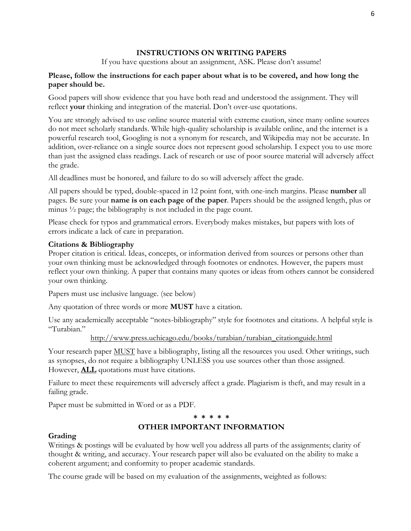# **INSTRUCTIONS ON WRITING PAPERS**

If you have questions about an assignment, ASK. Please don't assume!

# **Please, follow the instructions for each paper about what is to be covered, and how long the paper should be.**

Good papers will show evidence that you have both read and understood the assignment. They will reflect **your** thinking and integration of the material. Don't over-use quotations.

You are strongly advised to use online source material with extreme caution, since many online sources do not meet scholarly standards. While high-quality scholarship is available online, and the internet is a powerful research tool, Googling is not a synonym for research, and Wikipedia may not be accurate. In addition, over-reliance on a single source does not represent good scholarship. I expect you to use more than just the assigned class readings. Lack of research or use of poor source material will adversely affect the grade.

All deadlines must be honored, and failure to do so will adversely affect the grade.

All papers should be typed, double-spaced in 12 point font, with one-inch margins. Please **number** all pages. Be sure your **name is on each page of the paper**. Papers should be the assigned length, plus or minus ½ page; the bibliography is not included in the page count.

Please check for typos and grammatical errors. Everybody makes mistakes, but papers with lots of errors indicate a lack of care in preparation.

# **Citations & Bibliography**

Proper citation is critical. Ideas, concepts, or information derived from sources or persons other than your own thinking must be acknowledged through footnotes or endnotes. However, the papers must reflect your own thinking. A paper that contains many quotes or ideas from others cannot be considered your own thinking.

Papers must use inclusive language. (see below)

Any quotation of three words or more **MUST** have a citation.

Use any academically acceptable "notes-bibliography" style for footnotes and citations. A helpful style is "Turabian."

[http://www.press.uchicago.edu/books/turabian/turabian\\_citationguide.html](http://www.press.uchicago.edu/books/turabian/turabian_citationguide.html)

Your research paper **MUST** have a bibliography, listing all the resources you used. Other writings, such as synopses, do not require a bibliography UNLESS you use sources other than those assigned. However, **ALL** quotations must have citations.

Failure to meet these requirements will adversely affect a grade. Plagiarism is theft, and may result in a failing grade.

Paper must be submitted in Word or as a PDF.

#### **\* \* \* \* \***

# **OTHER IMPORTANT INFORMATION**

### **Grading**

Writings & postings will be evaluated by how well you address all parts of the assignments; clarity of thought & writing, and accuracy. Your research paper will also be evaluated on the ability to make a coherent argument; and conformity to proper academic standards.

The course grade will be based on my evaluation of the assignments, weighted as follows: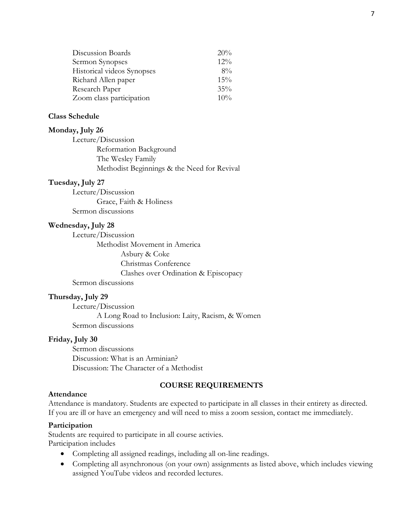| Discussion Boards          | 20%    |
|----------------------------|--------|
| Sermon Synopses            | 12%    |
| Historical videos Synopses | $8\%$  |
| Richard Allen paper        | 15%    |
| Research Paper             | $35\%$ |
| Zoom class participation   | 10%    |

#### **Class Schedule**

#### **Monday, July 26**

Lecture/Discussion Reformation Background The Wesley Family Methodist Beginnings & the Need for Revival

#### **Tuesday, July 27**

Lecture/Discussion Grace, Faith & Holiness Sermon discussions

#### **Wednesday, July 28**

Lecture/Discussion Methodist Movement in America Asbury & Coke Christmas Conference Clashes over Ordination & Episcopacy Sermon discussions

#### **Thursday, July 29**

Lecture/Discussion A Long Road to Inclusion: Laity, Racism, & Women Sermon discussions

#### **Friday, July 30**

Sermon discussions Discussion: What is an Arminian? Discussion: The Character of a Methodist

#### **COURSE REQUIREMENTS**

#### **Attendance**

Attendance is mandatory. Students are expected to participate in all classes in their entirety as directed. If you are ill or have an emergency and will need to miss a zoom session, contact me immediately.

#### **Participation**

Students are required to participate in all course activies. Participation includes

- Completing all assigned readings, including all on-line readings.
- Completing all asynchronous (on your own) assignments as listed above, which includes viewing assigned YouTube videos and recorded lectures.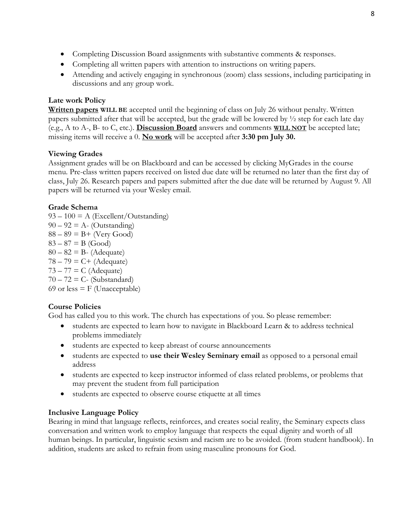- Completing Discussion Board assignments with substantive comments & responses.
- Completing all written papers with attention to instructions on writing papers.
- Attending and actively engaging in synchronous (zoom) class sessions, including participating in discussions and any group work.

# **Late work Policy**

**Written papers WILL BE** accepted until the beginning of class on July 26 without penalty. Written papers submitted after that will be accepted, but the grade will be lowered by ½ step for each late day (e.g., A to A-, B- to C, etc.). **Discussion Board** answers and comments **WILL NOT** be accepted late; missing items will receive a 0. **No work** will be accepted after **3:30 pm July 30.**

# **Viewing Grades**

Assignment grades will be on Blackboard and can be accessed by clicking MyGrades in the course menu. Pre-class written papers received on listed due date will be returned no later than the first day of class, July 26. Research papers and papers submitted after the due date will be returned by August 9. All papers will be returned via your Wesley email.

# **Grade Schema**

 $93 - 100 = A$  (Excellent/Outstanding)  $90 - 92 = A - (Outstanding)$  $88 - 89 = B +$  (Very Good)  $83 - 87 = B$  (Good)  $80 - 82 = B$ - (Adequate)  $78 - 79 = C + (Adequate)$  $73 - 77 = C$  (Adequate)  $70 - 72 = C$ - (Substandard) 69 or less  $=$  F (Unacceptable)

# **Course Policies**

God has called you to this work. The church has expectations of you. So please remember:

- students are expected to learn how to navigate in Blackboard Learn & to address technical problems immediately
- students are expected to keep abreast of course announcements
- students are expected to **use their Wesley Seminary email** as opposed to a personal email address
- students are expected to keep instructor informed of class related problems, or problems that may prevent the student from full participation
- students are expected to observe course etiquette at all times

### **Inclusive Language Policy**

Bearing in mind that language reflects, reinforces, and creates social reality, the Seminary expects class conversation and written work to employ language that respects the equal dignity and worth of all human beings. In particular, linguistic sexism and racism are to be avoided. (from student handbook). In addition, students are asked to refrain from using masculine pronouns for God.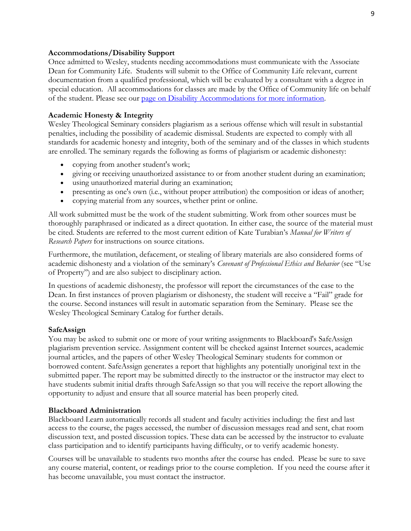#### **Accommodations/Disability Support**

Once admitted to Wesley, students needing accommodations must communicate with the Associate Dean for Community Life. Students will submit to the Office of Community Life relevant, current documentation from a qualified professional, which will be evaluated by a consultant with a degree in special education. All accommodations for classes are made by the Office of Community life on behalf of the student. Please see our [page on Disability Accommodations for more information.](https://www.wesleyseminary.edu/community-life/academic-and-access-support/disability-accommodations/)

#### **Academic Honesty & Integrity**

Wesley Theological Seminary considers plagiarism as a serious offense which will result in substantial penalties, including the possibility of academic dismissal. Students are expected to comply with all standards for academic honesty and integrity, both of the seminary and of the classes in which students are enrolled. The seminary regards the following as forms of plagiarism or academic dishonesty:

- copying from another student's work;
- giving or receiving unauthorized assistance to or from another student during an examination;
- using unauthorized material during an examination;
- presenting as one's own (i.e., without proper attribution) the composition or ideas of another;
- copying material from any sources, whether print or online.

All work submitted must be the work of the student submitting. Work from other sources must be thoroughly paraphrased or indicated as a direct quotation. In either case, the source of the material must be cited. Students are referred to the most current edition of Kate Turabian's *Manual for Writers of Research Papers* for instructions on source citations.

Furthermore, the mutilation, defacement, or stealing of library materials are also considered forms of academic dishonesty and a violation of the seminary's *Covenant of Professional Ethics and Behavior* (see "Use of Property") and are also subject to disciplinary action.

In questions of academic dishonesty, the professor will report the circumstances of the case to the Dean. In first instances of proven plagiarism or dishonesty, the student will receive a "Fail" grade for the course. Second instances will result in automatic separation from the Seminary. Please see the Wesley Theological Seminary Catalog for further details.

#### **SafeAssign**

You may be asked to submit one or more of your writing assignments to Blackboard's SafeAssign plagiarism prevention service. Assignment content will be checked against Internet sources, academic journal articles, and the papers of other Wesley Theological Seminary students for common or borrowed content. SafeAssign generates a report that highlights any potentially unoriginal text in the submitted paper. The report may be submitted directly to the instructor or the instructor may elect to have students submit initial drafts through SafeAssign so that you will receive the report allowing the opportunity to adjust and ensure that all source material has been properly cited.

#### **Blackboard Administration**

Blackboard Learn automatically records all student and faculty activities including: the first and last access to the course, the pages accessed, the number of discussion messages read and sent, chat room discussion text, and posted discussion topics. These data can be accessed by the instructor to evaluate class participation and to identify participants having difficulty, or to verify academic honesty.

Courses will be unavailable to students two months after the course has ended. Please be sure to save any course material, content, or readings prior to the course completion. If you need the course after it has become unavailable, you must contact the instructor.